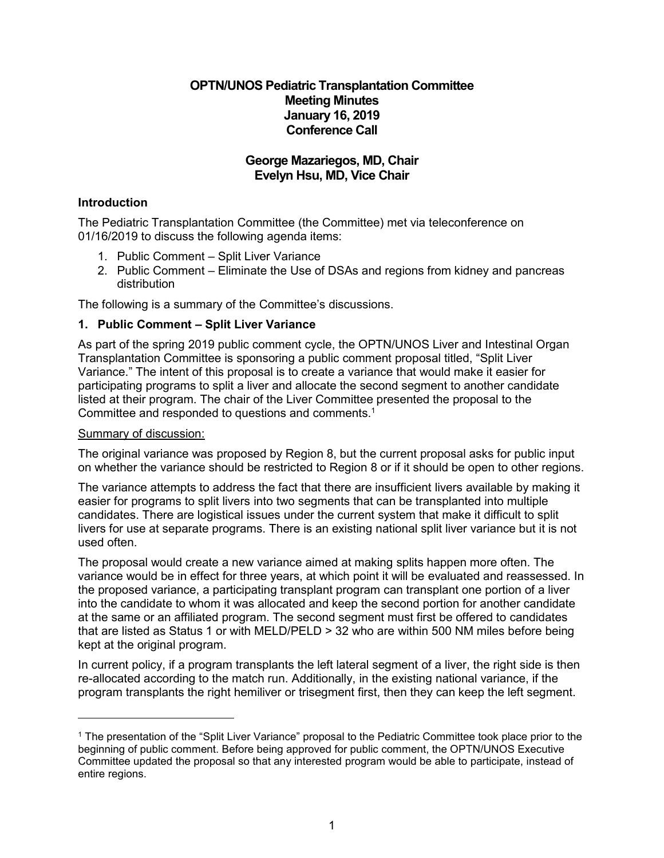# **OPTN/UNOS Pediatric Transplantation Committee Meeting Minutes January 16, 2019 Conference Call**

# **George Mazariegos, MD, Chair Evelyn Hsu, MD, Vice Chair**

# **Introduction**

The Pediatric Transplantation Committee (the Committee) met via teleconference on 01/16/2019 to discuss the following agenda items:

- 1. Public Comment Split Liver Variance
- 2. Public Comment Eliminate the Use of DSAs and regions from kidney and pancreas distribution

The following is a summary of the Committee's discussions.

## **1. Public Comment – Split Liver Variance**

As part of the spring 2019 public comment cycle, the OPTN/UNOS Liver and Intestinal Organ Transplantation Committee is sponsoring a public comment proposal titled, "Split Liver Variance." The intent of this proposal is to create a variance that would make it easier for participating programs to split a liver and allocate the second segment to another candidate listed at their program. The chair of the Liver Committee presented the proposal to the Committee and responded to questions and comments.<sup>1</sup>

### Summary of discussion:

The original variance was proposed by Region 8, but the current proposal asks for public input on whether the variance should be restricted to Region 8 or if it should be open to other regions.

The variance attempts to address the fact that there are insufficient livers available by making it easier for programs to split livers into two segments that can be transplanted into multiple candidates. There are logistical issues under the current system that make it difficult to split livers for use at separate programs. There is an existing national split liver variance but it is not used often.

The proposal would create a new variance aimed at making splits happen more often. The variance would be in effect for three years, at which point it will be evaluated and reassessed. In the proposed variance, a participating transplant program can transplant one portion of a liver into the candidate to whom it was allocated and keep the second portion for another candidate at the same or an affiliated program. The second segment must first be offered to candidates that are listed as Status 1 or with MELD/PELD > 32 who are within 500 NM miles before being kept at the original program.

In current policy, if a program transplants the left lateral segment of a liver, the right side is then re-allocated according to the match run. Additionally, in the existing national variance, if the program transplants the right hemiliver or trisegment first, then they can keep the left segment.

<sup>1</sup> The presentation of the "Split Liver Variance" proposal to the Pediatric Committee took place prior to the beginning of public comment. Before being approved for public comment, the OPTN/UNOS Executive Committee updated the proposal so that any interested program would be able to participate, instead of entire regions.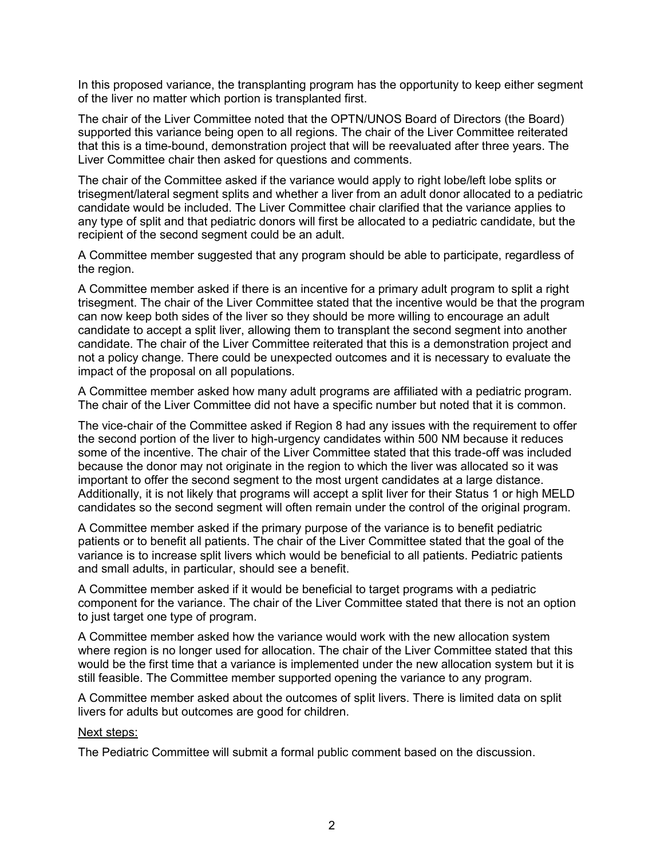In this proposed variance, the transplanting program has the opportunity to keep either segment of the liver no matter which portion is transplanted first.

The chair of the Liver Committee noted that the OPTN/UNOS Board of Directors (the Board) supported this variance being open to all regions. The chair of the Liver Committee reiterated that this is a time-bound, demonstration project that will be reevaluated after three years. The Liver Committee chair then asked for questions and comments.

The chair of the Committee asked if the variance would apply to right lobe/left lobe splits or trisegment/lateral segment splits and whether a liver from an adult donor allocated to a pediatric candidate would be included. The Liver Committee chair clarified that the variance applies to any type of split and that pediatric donors will first be allocated to a pediatric candidate, but the recipient of the second segment could be an adult.

A Committee member suggested that any program should be able to participate, regardless of the region.

A Committee member asked if there is an incentive for a primary adult program to split a right trisegment. The chair of the Liver Committee stated that the incentive would be that the program can now keep both sides of the liver so they should be more willing to encourage an adult candidate to accept a split liver, allowing them to transplant the second segment into another candidate. The chair of the Liver Committee reiterated that this is a demonstration project and not a policy change. There could be unexpected outcomes and it is necessary to evaluate the impact of the proposal on all populations.

A Committee member asked how many adult programs are affiliated with a pediatric program. The chair of the Liver Committee did not have a specific number but noted that it is common.

The vice-chair of the Committee asked if Region 8 had any issues with the requirement to offer the second portion of the liver to high-urgency candidates within 500 NM because it reduces some of the incentive. The chair of the Liver Committee stated that this trade-off was included because the donor may not originate in the region to which the liver was allocated so it was important to offer the second segment to the most urgent candidates at a large distance. Additionally, it is not likely that programs will accept a split liver for their Status 1 or high MELD candidates so the second segment will often remain under the control of the original program.

A Committee member asked if the primary purpose of the variance is to benefit pediatric patients or to benefit all patients. The chair of the Liver Committee stated that the goal of the variance is to increase split livers which would be beneficial to all patients. Pediatric patients and small adults, in particular, should see a benefit.

A Committee member asked if it would be beneficial to target programs with a pediatric component for the variance. The chair of the Liver Committee stated that there is not an option to just target one type of program.

A Committee member asked how the variance would work with the new allocation system where region is no longer used for allocation. The chair of the Liver Committee stated that this would be the first time that a variance is implemented under the new allocation system but it is still feasible. The Committee member supported opening the variance to any program.

A Committee member asked about the outcomes of split livers. There is limited data on split livers for adults but outcomes are good for children.

#### Next steps:

The Pediatric Committee will submit a formal public comment based on the discussion.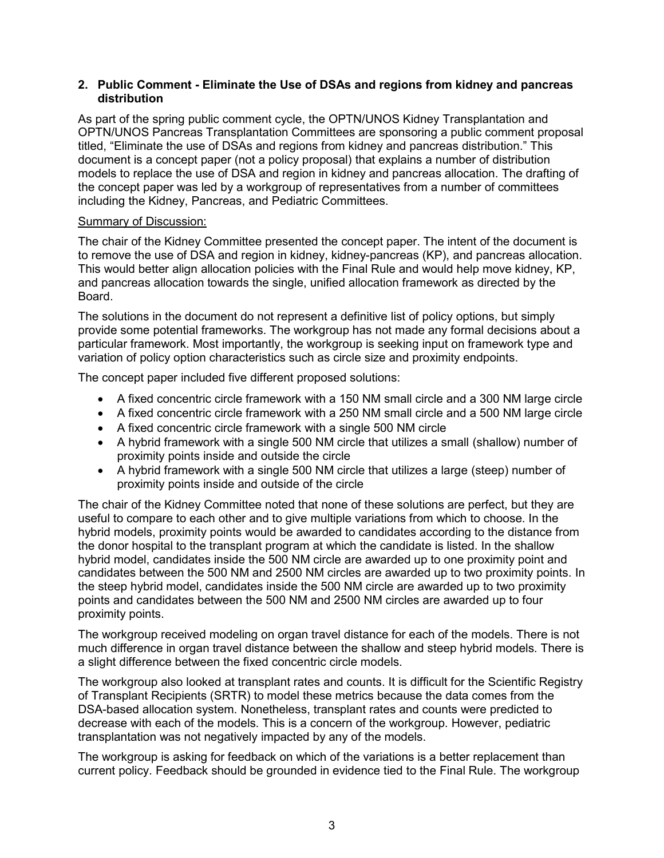### **2. Public Comment - Eliminate the Use of DSAs and regions from kidney and pancreas distribution**

As part of the spring public comment cycle, the OPTN/UNOS Kidney Transplantation and OPTN/UNOS Pancreas Transplantation Committees are sponsoring a public comment proposal titled, "Eliminate the use of DSAs and regions from kidney and pancreas distribution." This document is a concept paper (not a policy proposal) that explains a number of distribution models to replace the use of DSA and region in kidney and pancreas allocation. The drafting of the concept paper was led by a workgroup of representatives from a number of committees including the Kidney, Pancreas, and Pediatric Committees.

## Summary of Discussion:

The chair of the Kidney Committee presented the concept paper. The intent of the document is to remove the use of DSA and region in kidney, kidney-pancreas (KP), and pancreas allocation. This would better align allocation policies with the Final Rule and would help move kidney, KP, and pancreas allocation towards the single, unified allocation framework as directed by the Board.

The solutions in the document do not represent a definitive list of policy options, but simply provide some potential frameworks. The workgroup has not made any formal decisions about a particular framework. Most importantly, the workgroup is seeking input on framework type and variation of policy option characteristics such as circle size and proximity endpoints.

The concept paper included five different proposed solutions:

- A fixed concentric circle framework with a 150 NM small circle and a 300 NM large circle
- A fixed concentric circle framework with a 250 NM small circle and a 500 NM large circle
- A fixed concentric circle framework with a single 500 NM circle
- A hybrid framework with a single 500 NM circle that utilizes a small (shallow) number of proximity points inside and outside the circle
- A hybrid framework with a single 500 NM circle that utilizes a large (steep) number of proximity points inside and outside of the circle

The chair of the Kidney Committee noted that none of these solutions are perfect, but they are useful to compare to each other and to give multiple variations from which to choose. In the hybrid models, proximity points would be awarded to candidates according to the distance from the donor hospital to the transplant program at which the candidate is listed. In the shallow hybrid model, candidates inside the 500 NM circle are awarded up to one proximity point and candidates between the 500 NM and 2500 NM circles are awarded up to two proximity points. In the steep hybrid model, candidates inside the 500 NM circle are awarded up to two proximity points and candidates between the 500 NM and 2500 NM circles are awarded up to four proximity points.

The workgroup received modeling on organ travel distance for each of the models. There is not much difference in organ travel distance between the shallow and steep hybrid models. There is a slight difference between the fixed concentric circle models.

The workgroup also looked at transplant rates and counts. It is difficult for the Scientific Registry of Transplant Recipients (SRTR) to model these metrics because the data comes from the DSA-based allocation system. Nonetheless, transplant rates and counts were predicted to decrease with each of the models. This is a concern of the workgroup. However, pediatric transplantation was not negatively impacted by any of the models.

The workgroup is asking for feedback on which of the variations is a better replacement than current policy. Feedback should be grounded in evidence tied to the Final Rule. The workgroup